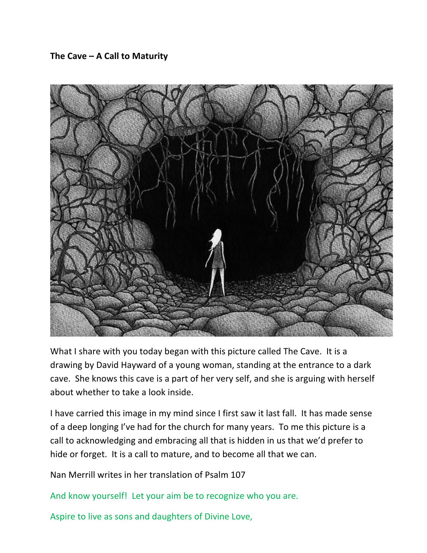## The Cave – A Call to Maturity



What I share with you today began with this picture called The Cave. It is a drawing by David Hayward of a young woman, standing at the entrance to a dark cave. She knows this cave is a part of her very self, and she is arguing with herself about whether to take a look inside.

I have carried this image in my mind since I first saw it last fall. It has made sense of a deep longing I've had for the church for many years. To me this picture is a call to acknowledging and embracing all that is hidden in us that we'd prefer to hide or forget. It is a call to mature, and to become all that we can.

Nan Merrill writes in her translation of Psalm 107

And know yourself! Let your aim be to recognize who you are.

Aspire to live as sons and daughters of Divine Love,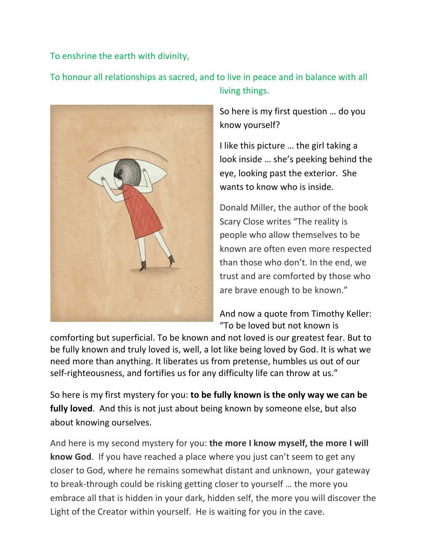To enshrine the earth with divinity,

To honour all relationships as sacred, and to live in peace and in balance with all living things.



So here is my first question ... do you know yourself? 

I like this picture ... the girl taking a look inside ... she's peeking behind the eye, looking past the exterior. She wants to know who is inside.

Donald Miller, the author of the book Scary Close writes "The reality is people who allow themselves to be. known are often even more respected than those who don't. In the end, we trust and are comforted by those who are brave enough to be known."

And now a quote from Timothy Keller: "To be loved but not known is

comforting but superficial. To be known and not loved is our greatest fear. But to be fully known and truly loved is, well, a lot like being loved by God. It is what we need more than anything. It liberates us from pretense, humbles us out of our self-righteousness, and fortifies us for any difficulty life can throw at us."

So here is my first mystery for you: **to be fully known is the only way we can be fully loved**. And this is not just about being known by someone else, but also about knowing ourselves.

And here is my second mystery for you: **the more I know myself, the more I will know God**. If you have reached a place where you just can't seem to get any closer to God, where he remains somewhat distant and unknown, your gateway to break-through could be risking getting closer to yourself ... the more you embrace all that is hidden in your dark, hidden self, the more you will discover the Light of the Creator within yourself. He is waiting for you in the cave.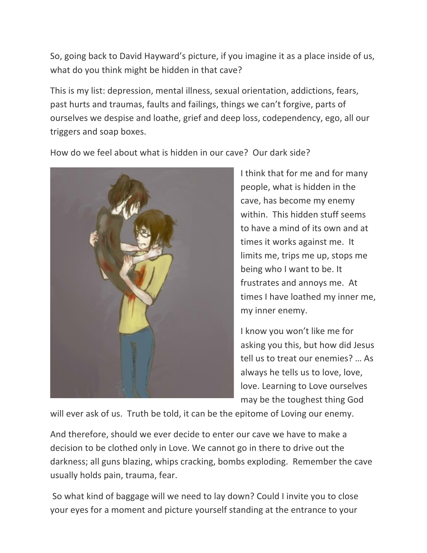So, going back to David Hayward's picture, if you imagine it as a place inside of us, what do you think might be hidden in that cave?

This is my list: depression, mental illness, sexual orientation, addictions, fears, past hurts and traumas, faults and failings, things we can't forgive, parts of ourselves we despise and loathe, grief and deep loss, codependency, ego, all our triggers and soap boxes.

How do we feel about what is hidden in our cave? Our dark side?



I think that for me and for many people, what is hidden in the cave, has become my enemy within. This hidden stuff seems to have a mind of its own and at times it works against me. It limits me, trips me up, stops me being who I want to be. It frustrates and annoys me. At times I have loathed my inner me, my inner enemy.

I know you won't like me for asking you this, but how did Jesus tell us to treat our enemies? ... As always he tells us to love, love, love. Learning to Love ourselves may be the toughest thing God

will ever ask of us. Truth be told, it can be the epitome of Loving our enemy.

And therefore, should we ever decide to enter our cave we have to make a decision to be clothed only in Love. We cannot go in there to drive out the darkness; all guns blazing, whips cracking, bombs exploding. Remember the cave usually holds pain, trauma, fear.

So what kind of baggage will we need to lay down? Could I invite you to close your eyes for a moment and picture yourself standing at the entrance to your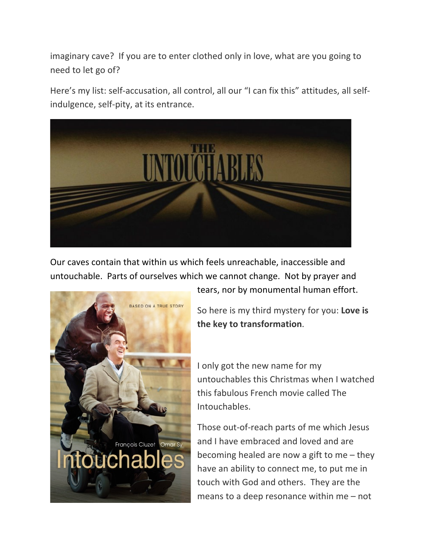imaginary cave? If you are to enter clothed only in love, what are you going to need to let go of?

Here's my list: self-accusation, all control, all our "I can fix this" attitudes, all selfindulgence, self-pity, at its entrance.



Our caves contain that within us which feels unreachable, inaccessible and untouchable. Parts of ourselves which we cannot change. Not by prayer and



tears, nor by monumental human effort.

So here is my third mystery for you: Love is the key to transformation.

I only got the new name for my untouchables this Christmas when I watched this fabulous French movie called The Intouchables.

Those out-of-reach parts of me which Jesus and I have embraced and loved and are becoming healed are now a gift to me  $-$  they have an ability to connect me, to put me in touch with God and others. They are the means to a deep resonance within  $me$  – not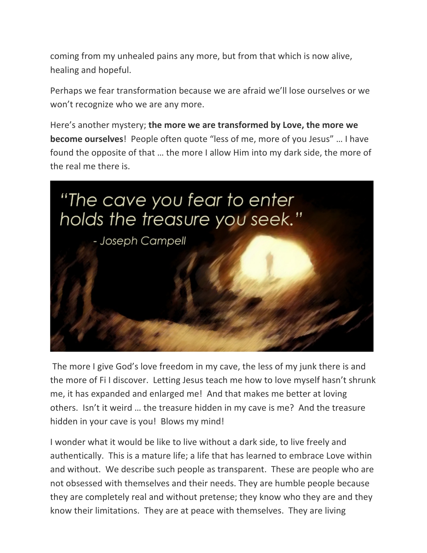coming from my unhealed pains any more, but from that which is now alive, healing and hopeful.

Perhaps we fear transformation because we are afraid we'll lose ourselves or we won't recognize who we are any more.

Here's another mystery; the more we are transformed by Love, the more we **become ourselves**! People often quote "less of me, more of you Jesus" ... I have found the opposite of that ... the more I allow Him into my dark side, the more of the real me there is.



The more I give God's love freedom in my cave, the less of my junk there is and the more of Fil discover. Letting Jesus teach me how to love myself hasn't shrunk me, it has expanded and enlarged me! And that makes me better at loving others. Isn't it weird ... the treasure hidden in my cave is me? And the treasure hidden in your cave is you! Blows my mind!

I wonder what it would be like to live without a dark side, to live freely and authentically. This is a mature life; a life that has learned to embrace Love within and without. We describe such people as transparent. These are people who are not obsessed with themselves and their needs. They are humble people because they are completely real and without pretense; they know who they are and they know their limitations. They are at peace with themselves. They are living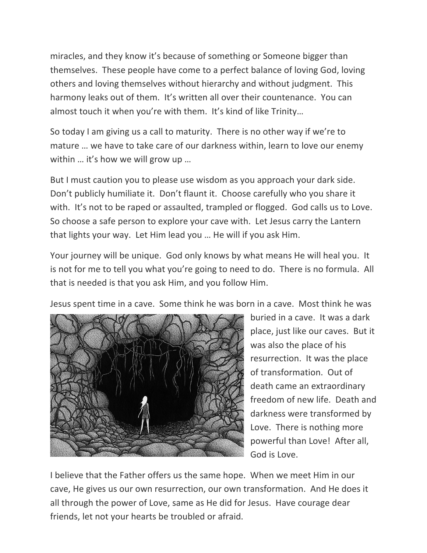miracles, and they know it's because of something or Someone bigger than themselves. These people have come to a perfect balance of loving God, loving others and loving themselves without hierarchy and without judgment. This harmony leaks out of them. It's written all over their countenance. You can almost touch it when you're with them. It's kind of like Trinity...

So today I am giving us a call to maturity. There is no other way if we're to mature ... we have to take care of our darkness within, learn to love our enemy within  $\ldots$  it's how we will grow up  $\ldots$ 

But I must caution you to please use wisdom as you approach your dark side. Don't publicly humiliate it. Don't flaunt it. Choose carefully who you share it with. It's not to be raped or assaulted, trampled or flogged. God calls us to Love. So choose a safe person to explore your cave with. Let Jesus carry the Lantern that lights your way. Let Him lead you ... He will if you ask Him.

Your journey will be unique. God only knows by what means He will heal you. It is not for me to tell you what you're going to need to do. There is no formula. All that is needed is that you ask Him, and you follow Him.

Jesus spent time in a cave. Some think he was born in a cave. Most think he was



buried in a cave. It was a dark place, just like our caves. But it was also the place of his resurrection. It was the place of transformation. Out of death came an extraordinary freedom of new life. Death and darkness were transformed by Love. There is nothing more powerful than Love! After all, God is Love.

I believe that the Father offers us the same hope. When we meet Him in our cave, He gives us our own resurrection, our own transformation. And He does it all through the power of Love, same as He did for Jesus. Have courage dear friends, let not your hearts be troubled or afraid.